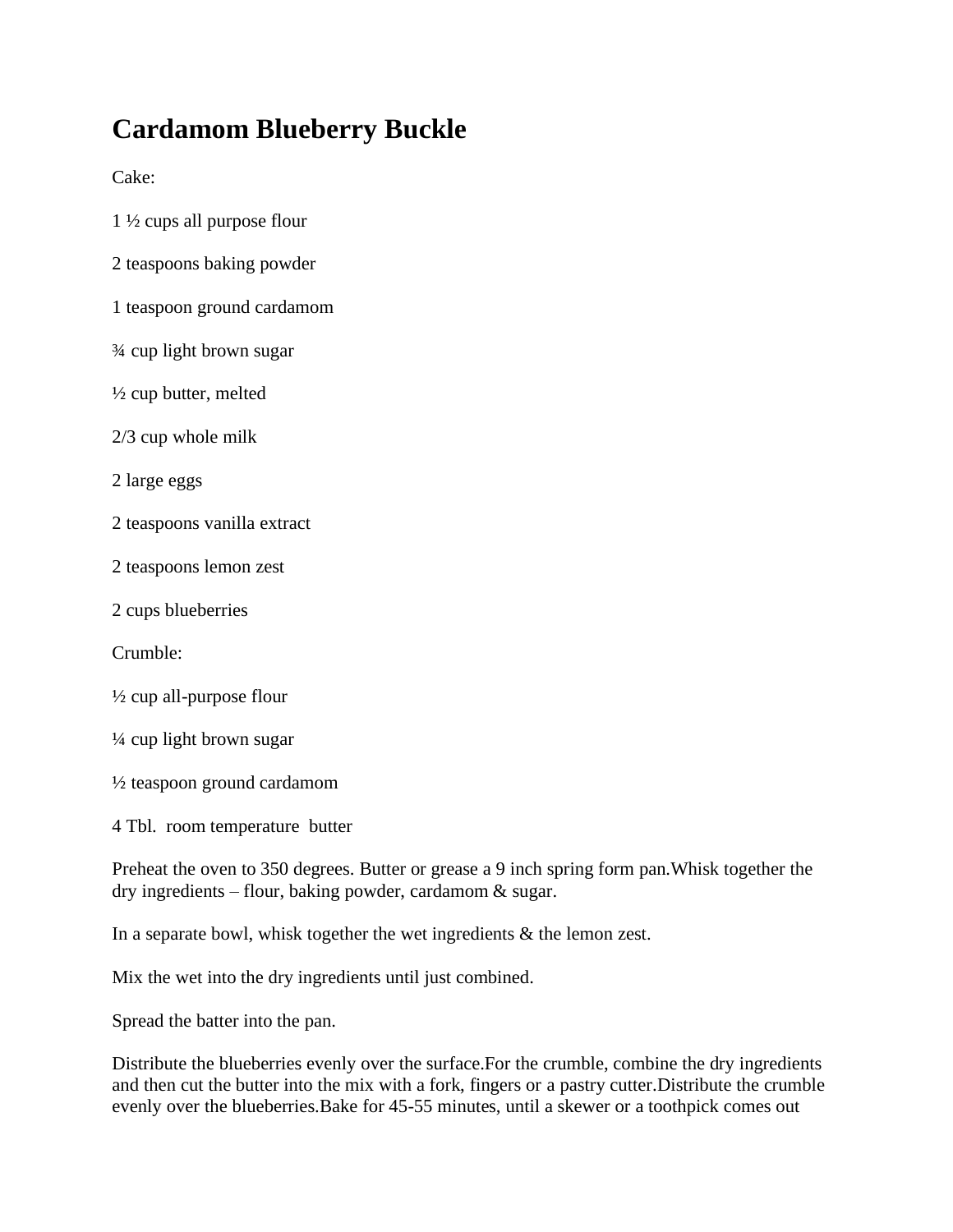## **Cardamom Blueberry Buckle**

Cake:

- 1 ½ cups all purpose flour
- 2 teaspoons baking powder
- 1 teaspoon ground cardamom
- ¾ cup light brown sugar
- ½ cup butter, melted
- 2/3 cup whole milk
- 2 large eggs
- 2 teaspoons vanilla extract
- 2 teaspoons lemon zest
- 2 cups blueberries
- Crumble:
- ½ cup all-purpose flour
- ¼ cup light brown sugar
- ½ teaspoon ground cardamom
- 4 Tbl. room temperature butter

Preheat the oven to 350 degrees. Butter or grease a 9 inch spring form pan.Whisk together the dry ingredients – flour, baking powder, cardamom & sugar.

In a separate bowl, whisk together the wet ingredients  $\&$  the lemon zest.

Mix the wet into the dry ingredients until just combined.

Spread the batter into the pan.

Distribute the blueberries evenly over the surface.For the crumble, combine the dry ingredients and then cut the butter into the mix with a fork, fingers or a pastry cutter.Distribute the crumble evenly over the blueberries.Bake for 45-55 minutes, until a skewer or a toothpick comes out